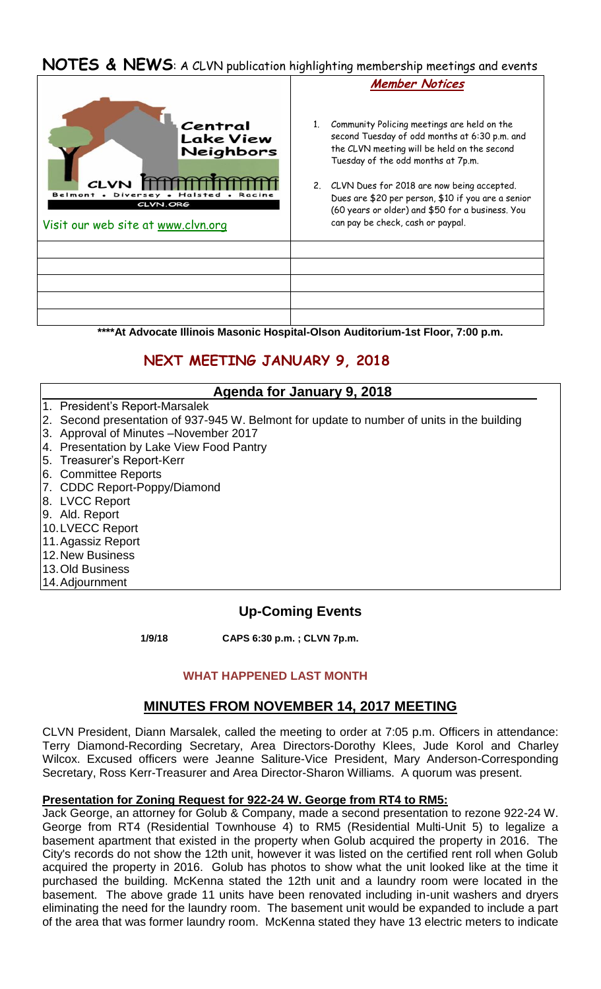## **NOTES & NEWS**: A CLVN publication highlighting membership meetings and events



**\*\*\*\*At Advocate Illinois Masonic Hospital-Olson Auditorium-1st Floor, 7:00 p.m.**

# **NEXT MEETING JANUARY 9, 2018**

### **Agenda for January 9, 2018**

- 1. President's Report-Marsalek
- 2. Second presentation of 937-945 W. Belmont for update to number of units in the building
- 3. Approval of Minutes –November 2017
- 4. Presentation by Lake View Food Pantry
- 5. Treasurer's Report-Kerr
- 6. Committee Reports
- 7. CDDC Report-Poppy/Diamond
- 8. LVCC Report
- 9. Ald. Report
- 10.LVECC Report
- 11.Agassiz Report
- 12.New Business
- 13.Old Business
- 14.Adjournment

## **Up-Coming Events**

 **1/9/18 CAPS 6:30 p.m. ; CLVN 7p.m.** 

### **WHAT HAPPENED LAST MONTH**

## **MINUTES FROM NOVEMBER 14, 2017 MEETING**

CLVN President, Diann Marsalek, called the meeting to order at 7:05 p.m. Officers in attendance: Terry Diamond-Recording Secretary, Area Directors-Dorothy Klees, Jude Korol and Charley Wilcox. Excused officers were Jeanne Saliture-Vice President, Mary Anderson-Corresponding Secretary, Ross Kerr-Treasurer and Area Director-Sharon Williams. A quorum was present.

### **Presentation for Zoning Request for 922-24 W. George from RT4 to RM5:**

Jack George, an attorney for Golub & Company, made a second presentation to rezone 922-24 W. George from RT4 (Residential Townhouse 4) to RM5 (Residential Multi-Unit 5) to legalize a basement apartment that existed in the property when Golub acquired the property in 2016. The City's records do not show the 12th unit, however it was listed on the certified rent roll when Golub acquired the property in 2016. Golub has photos to show what the unit looked like at the time it purchased the building. McKenna stated the 12th unit and a laundry room were located in the basement. The above grade 11 units have been renovated including in-unit washers and dryers eliminating the need for the laundry room. The basement unit would be expanded to include a part of the area that was former laundry room. McKenna stated they have 13 electric meters to indicate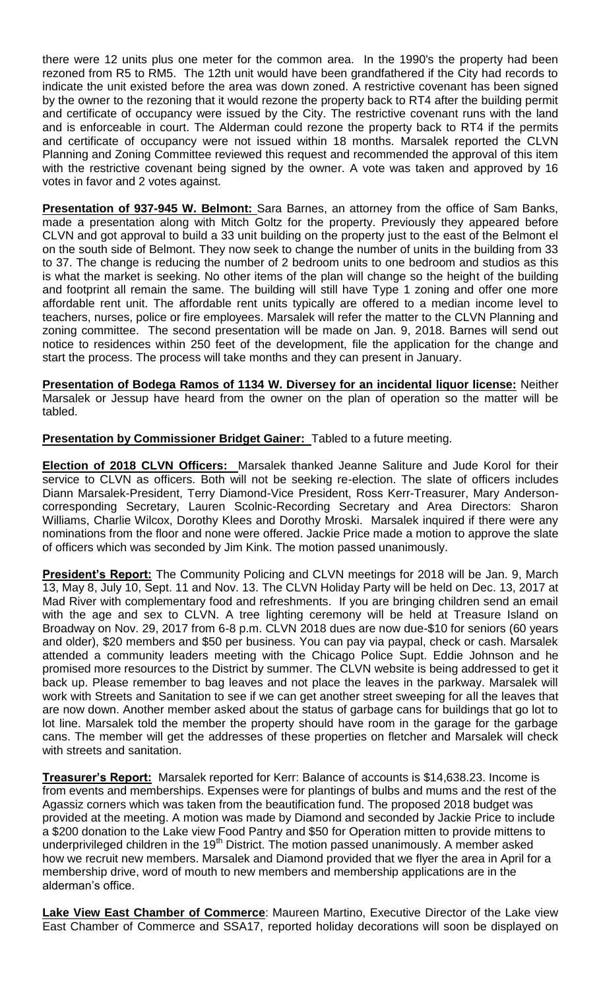there were 12 units plus one meter for the common area. In the 1990's the property had been rezoned from R5 to RM5. The 12th unit would have been grandfathered if the City had records to indicate the unit existed before the area was down zoned. A restrictive covenant has been signed by the owner to the rezoning that it would rezone the property back to RT4 after the building permit and certificate of occupancy were issued by the City. The restrictive covenant runs with the land and is enforceable in court. The Alderman could rezone the property back to RT4 if the permits and certificate of occupancy were not issued within 18 months. Marsalek reported the CLVN Planning and Zoning Committee reviewed this request and recommended the approval of this item with the restrictive covenant being signed by the owner. A vote was taken and approved by 16 votes in favor and 2 votes against.

**Presentation of 937-945 W. Belmont:** Sara Barnes, an attorney from the office of Sam Banks, made a presentation along with Mitch Goltz for the property. Previously they appeared before CLVN and got approval to build a 33 unit building on the property just to the east of the Belmont el on the south side of Belmont. They now seek to change the number of units in the building from 33 to 37. The change is reducing the number of 2 bedroom units to one bedroom and studios as this is what the market is seeking. No other items of the plan will change so the height of the building and footprint all remain the same. The building will still have Type 1 zoning and offer one more affordable rent unit. The affordable rent units typically are offered to a median income level to teachers, nurses, police or fire employees. Marsalek will refer the matter to the CLVN Planning and zoning committee. The second presentation will be made on Jan. 9, 2018. Barnes will send out notice to residences within 250 feet of the development, file the application for the change and start the process. The process will take months and they can present in January.

**Presentation of Bodega Ramos of 1134 W. Diversey for an incidental liquor license:** Neither Marsalek or Jessup have heard from the owner on the plan of operation so the matter will be tabled.

**Presentation by Commissioner Bridget Gainer:** Tabled to a future meeting.

**Election of 2018 CLVN Officers:** Marsalek thanked Jeanne Saliture and Jude Korol for their service to CLVN as officers. Both will not be seeking re-election. The slate of officers includes Diann Marsalek-President, Terry Diamond-Vice President, Ross Kerr-Treasurer, Mary Andersoncorresponding Secretary, Lauren Scolnic-Recording Secretary and Area Directors: Sharon Williams, Charlie Wilcox, Dorothy Klees and Dorothy Mroski. Marsalek inquired if there were any nominations from the floor and none were offered. Jackie Price made a motion to approve the slate of officers which was seconded by Jim Kink. The motion passed unanimously.

**President's Report:** The Community Policing and CLVN meetings for 2018 will be Jan. 9, March 13, May 8, July 10, Sept. 11 and Nov. 13. The CLVN Holiday Party will be held on Dec. 13, 2017 at Mad River with complementary food and refreshments. If you are bringing children send an email with the age and sex to CLVN. A tree lighting ceremony will be held at Treasure Island on Broadway on Nov. 29, 2017 from 6-8 p.m. CLVN 2018 dues are now due-\$10 for seniors (60 years and older), \$20 members and \$50 per business. You can pay via paypal, check or cash. Marsalek attended a community leaders meeting with the Chicago Police Supt. Eddie Johnson and he promised more resources to the District by summer. The CLVN website is being addressed to get it back up. Please remember to bag leaves and not place the leaves in the parkway. Marsalek will work with Streets and Sanitation to see if we can get another street sweeping for all the leaves that are now down. Another member asked about the status of garbage cans for buildings that go lot to lot line. Marsalek told the member the property should have room in the garage for the garbage cans. The member will get the addresses of these properties on fletcher and Marsalek will check with streets and sanitation.

**Treasurer's Report:** Marsalek reported for Kerr: Balance of accounts is \$14,638.23. Income is from events and memberships. Expenses were for plantings of bulbs and mums and the rest of the Agassiz corners which was taken from the beautification fund. The proposed 2018 budget was provided at the meeting. A motion was made by Diamond and seconded by Jackie Price to include a \$200 donation to the Lake view Food Pantry and \$50 for Operation mitten to provide mittens to underprivileged children in the 19<sup>th</sup> District. The motion passed unanimously. A member asked how we recruit new members. Marsalek and Diamond provided that we flyer the area in April for a membership drive, word of mouth to new members and membership applications are in the alderman's office.

**Lake View East Chamber of Commerce**: Maureen Martino, Executive Director of the Lake view East Chamber of Commerce and SSA17, reported holiday decorations will soon be displayed on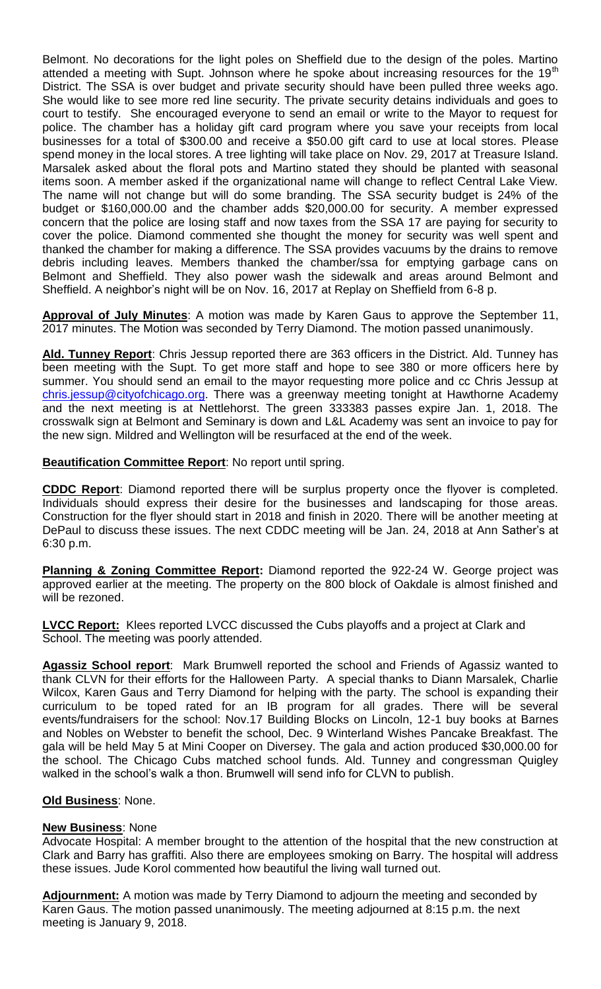Belmont. No decorations for the light poles on Sheffield due to the design of the poles. Martino attended a meeting with Supt. Johnson where he spoke about increasing resources for the  $19<sup>th</sup>$ District. The SSA is over budget and private security should have been pulled three weeks ago. She would like to see more red line security. The private security detains individuals and goes to court to testify. She encouraged everyone to send an email or write to the Mayor to request for police. The chamber has a holiday gift card program where you save your receipts from local businesses for a total of \$300.00 and receive a \$50.00 gift card to use at local stores. Please spend money in the local stores. A tree lighting will take place on Nov. 29, 2017 at Treasure Island. Marsalek asked about the floral pots and Martino stated they should be planted with seasonal items soon. A member asked if the organizational name will change to reflect Central Lake View. The name will not change but will do some branding. The SSA security budget is 24% of the budget or \$160,000.00 and the chamber adds \$20,000.00 for security. A member expressed concern that the police are losing staff and now taxes from the SSA 17 are paying for security to cover the police. Diamond commented she thought the money for security was well spent and thanked the chamber for making a difference. The SSA provides vacuums by the drains to remove debris including leaves. Members thanked the chamber/ssa for emptying garbage cans on Belmont and Sheffield. They also power wash the sidewalk and areas around Belmont and Sheffield. A neighbor's night will be on Nov. 16, 2017 at Replay on Sheffield from 6-8 p.

**Approval of July Minutes**: A motion was made by Karen Gaus to approve the September 11, 2017 minutes. The Motion was seconded by Terry Diamond. The motion passed unanimously.

**Ald. Tunney Report**: Chris Jessup reported there are 363 officers in the District. Ald. Tunney has been meeting with the Supt. To get more staff and hope to see 380 or more officers here by summer. You should send an email to the mayor requesting more police and cc Chris Jessup at [chris.jessup@cityofchicago.org.](mailto:chris.jessup@cityofchicago.org) There was a greenway meeting tonight at Hawthorne Academy and the next meeting is at Nettlehorst. The green 333383 passes expire Jan. 1, 2018. The crosswalk sign at Belmont and Seminary is down and L&L Academy was sent an invoice to pay for the new sign. Mildred and Wellington will be resurfaced at the end of the week.

**Beautification Committee Report**: No report until spring.

**CDDC Report**: Diamond reported there will be surplus property once the flyover is completed. Individuals should express their desire for the businesses and landscaping for those areas. Construction for the flyer should start in 2018 and finish in 2020. There will be another meeting at DePaul to discuss these issues. The next CDDC meeting will be Jan. 24, 2018 at Ann Sather's at 6:30 p.m.

**Planning & Zoning Committee Report:** Diamond reported the 922-24 W. George project was approved earlier at the meeting. The property on the 800 block of Oakdale is almost finished and will be rezoned.

**LVCC Report:** Klees reported LVCC discussed the Cubs playoffs and a project at Clark and School. The meeting was poorly attended.

**Agassiz School report**: Mark Brumwell reported the school and Friends of Agassiz wanted to thank CLVN for their efforts for the Halloween Party. A special thanks to Diann Marsalek, Charlie Wilcox, Karen Gaus and Terry Diamond for helping with the party. The school is expanding their curriculum to be toped rated for an IB program for all grades. There will be several events/fundraisers for the school: Nov.17 Building Blocks on Lincoln, 12-1 buy books at Barnes and Nobles on Webster to benefit the school, Dec. 9 Winterland Wishes Pancake Breakfast. The gala will be held May 5 at Mini Cooper on Diversey. The gala and action produced \$30,000.00 for the school. The Chicago Cubs matched school funds. Ald. Tunney and congressman Quigley walked in the school's walk a thon. Brumwell will send info for CLVN to publish.

### **Old Business**: None.

#### **New Business**: None

Advocate Hospital: A member brought to the attention of the hospital that the new construction at Clark and Barry has graffiti. Also there are employees smoking on Barry. The hospital will address these issues. Jude Korol commented how beautiful the living wall turned out.

**Adjournment:** A motion was made by Terry Diamond to adjourn the meeting and seconded by Karen Gaus. The motion passed unanimously. The meeting adjourned at 8:15 p.m. the next meeting is January 9, 2018.